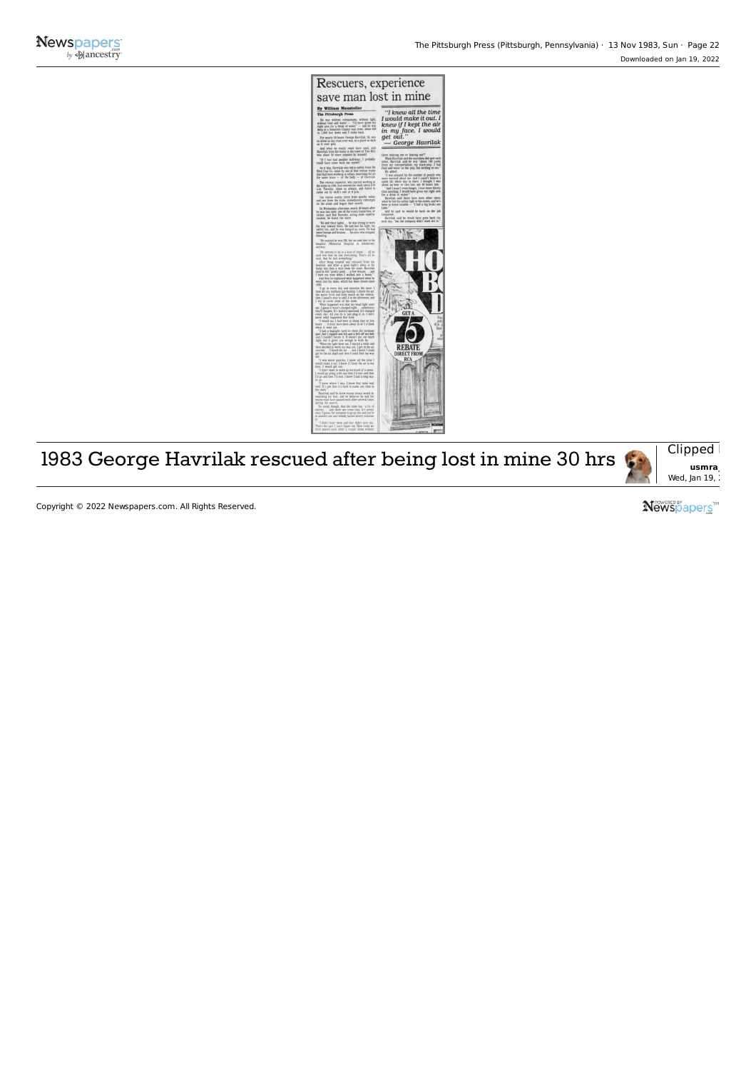



Copyright © 2022 Newspapers.com. All Rights Reserved.

**Newspapers™**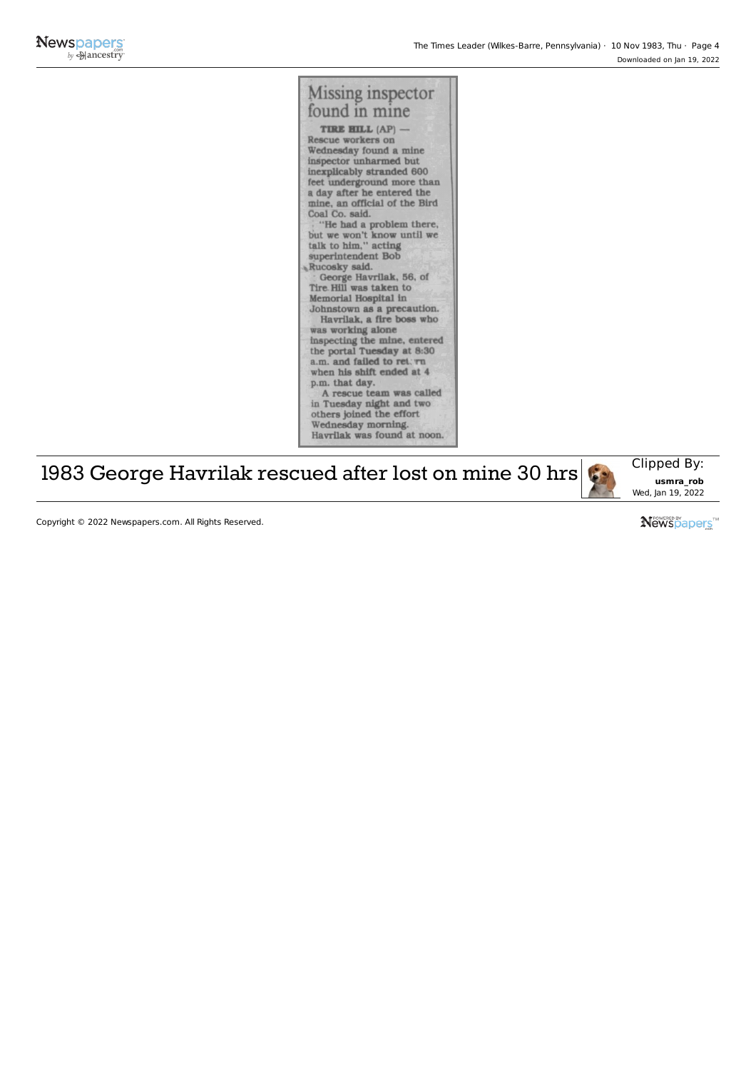

## 1983 George Havrilak rescued after lost on mine 30 hrs



Copyright © 2022 Newspapers.com. All Rights Reserved.

Newspapers<sup>"</sup>